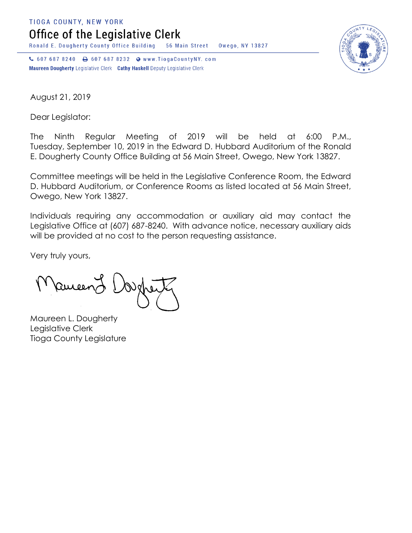**TIOGA COUNTY, NEW YORK** 

Office of the Legislative Clerk

Ronald E. Dougherty County Office Building 56 Main Street Owego, NY 13827

↓ 607 687 8240 → 607 687 8232 → www.TiogaCountyNY.com Maureen Dougherty Legislative Clerk Cathy Haskell Deputy Legislative Clerk



August 21, 2019

Dear Legislator:

The Ninth Regular Meeting of 2019 will be held at 6:00 P.M., Tuesday, September 10, 2019 in the Edward D. Hubbard Auditorium of the Ronald E. Dougherty County Office Building at 56 Main Street, Owego, New York 13827.

Committee meetings will be held in the Legislative Conference Room, the Edward D. Hubbard Auditorium, or Conference Rooms as listed located at 56 Main Street, Owego, New York 13827.

Individuals requiring any accommodation or auxiliary aid may contact the Legislative Office at (607) 687-8240. With advance notice, necessary auxiliary aids will be provided at no cost to the person requesting assistance.

Very truly yours,

Remeen

Maureen L. Dougherty Legislative Clerk Tioga County Legislature